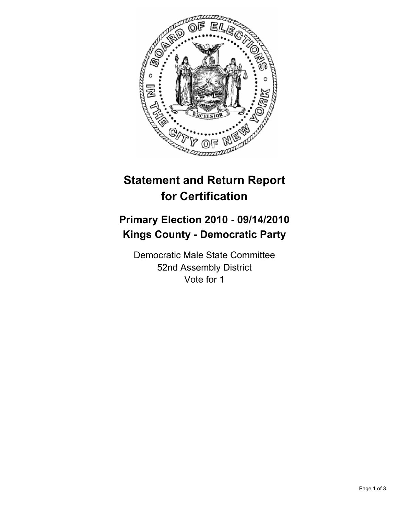

# **Statement and Return Report for Certification**

## **Primary Election 2010 - 09/14/2010 Kings County - Democratic Party**

Democratic Male State Committee 52nd Assembly District Vote for 1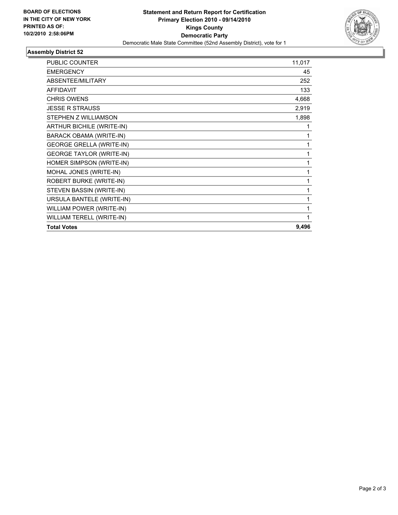

### **Assembly District 52**

| <b>PUBLIC COUNTER</b>           | 11,017 |
|---------------------------------|--------|
| <b>EMERGENCY</b>                | 45     |
| ABSENTEE/MILITARY               | 252    |
| <b>AFFIDAVIT</b>                | 133    |
| <b>CHRIS OWENS</b>              | 4,668  |
| <b>JESSE R STRAUSS</b>          | 2,919  |
| STEPHEN Z WILLIAMSON            | 1,898  |
| ARTHUR BICHILE (WRITE-IN)       | 1      |
| <b>BARACK OBAMA (WRITE-IN)</b>  | 1      |
| <b>GEORGE GRELLA (WRITE-IN)</b> | 1      |
| <b>GEORGE TAYLOR (WRITE-IN)</b> | 1      |
| HOMER SIMPSON (WRITE-IN)        | 1      |
| MOHAL JONES (WRITE-IN)          | 1      |
| ROBERT BURKE (WRITE-IN)         | 1      |
| STEVEN BASSIN (WRITE-IN)        | 1      |
| URSULA BANTELE (WRITE-IN)       | 1      |
| WILLIAM POWER (WRITE-IN)        | 1      |
| WILLIAM TERELL (WRITE-IN)       | 1      |
| <b>Total Votes</b>              | 9,496  |